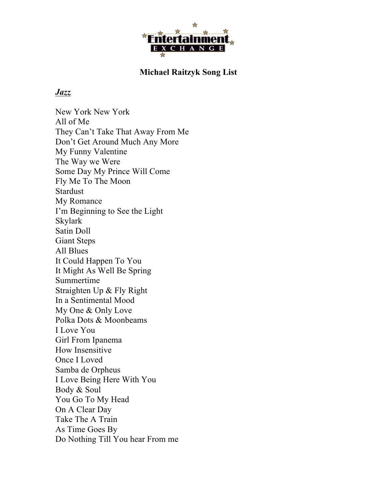

## **Michael Raitzyk Song List**

## *Jazz*

New York New York All of Me They Can't Take That Away From Me Don't Get Around Much Any More My Funny Valentine The Way we Were Some Day My Prince Will Come Fly Me To The Moon **Stardust** My Romance I'm Beginning to See the Light Skylark Satin Doll Giant Steps All Blues It Could Happen To You It Might As Well Be Spring Summertime Straighten Up & Fly Right In a Sentimental Mood My One & Only Love Polka Dots & Moonbeams I Love You Girl From Ipanema How Insensitive Once I Loved Samba de Orpheus I Love Being Here With You Body & Soul You Go To My Head On A Clear Day Take The A Train As Time Goes By Do Nothing Till You hear From me